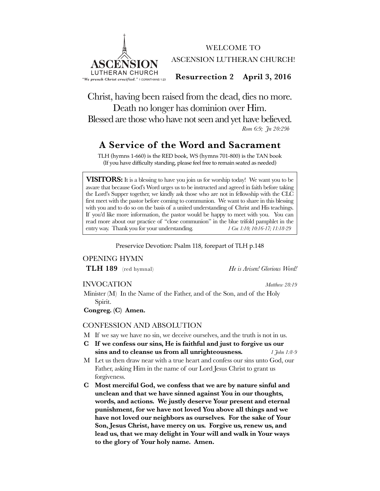

WELCOME TO ASCENSION LUTHERAN CHURCH!

**Resurrection 2 April 3, 2016**

Christ, having been raised from the dead, dies no more. Death no longer has dominion over Him. Blessed are those who have not seen and yet have believed. *Rom 6:9; Jn 20:29b*

# **A Service of the Word and Sacrament**

TLH (hymns 1-660) is the RED book, WS (hymns 701-800) is the TAN book (If you have difficulty standing, please feel free to remain seated as needed)

**VISITORS:** It is a blessing to have you join us for worship today! We want you to be aware that because God's Word urges us to be instructed and agreed in faith before taking the Lord's Supper together, we kindly ask those who are not in fellowship with the CLC first meet with the pastor before coming to communion. We want to share in this blessing with you and to do so on the basis of a united understanding of Christ and His teachings. If you'd like more information, the pastor would be happy to meet with you. You can read more about our practice of "close communion" in the blue trifold pamphlet in the entry way. Thank you for your understanding.  $1 \text{ Cor } 1.10; 10.16\text{-}17; 11.18\text{-}29$ entry way. Thank you for your understanding.

Preservice Devotion: Psalm 118, forepart of TLH p.148

# OPENING HYMN

**TLH 189** (red hymnal) *He is Arisen! Glorious Word!* 

# INVOCATION *Matthew 28:19*

Minister (M) In the Name of the Father, and of the Son, and of the Holy Spirit.

**Congreg. (C) Amen.**

# CONFESSION AND ABSOLUTION

- M If we say we have no sin, we deceive ourselves, and the truth is not in us.
- **C If we confess our sins, He is faithful and just to forgive us our sins and to cleanse us from all unrighteousness.** *1 John 1:8-9*
- M Let us then draw near with a true heart and confess our sins unto God, our Father, asking Him in the name of our Lord Jesus Christ to grant us forgiveness.
- **C Most merciful God, we confess that we are by nature sinful and unclean and that we have sinned against You in our thoughts, words, and actions. We justly deserve Your present and eternal punishment, for we have not loved You above all things and we have not loved our neighbors as ourselves. For the sake of Your Son, Jesus Christ, have mercy on us. Forgive us, renew us, and lead us, that we may delight in Your will and walk in Your ways to the glory of Your holy name. Amen.**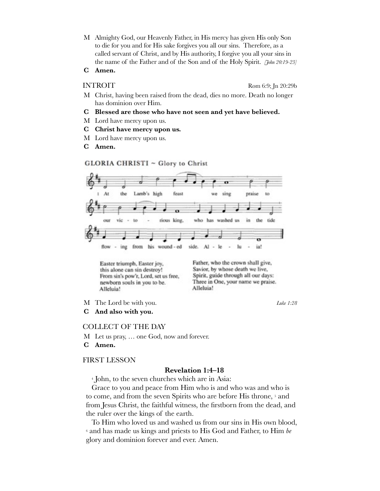- M Almighty God, our Heavenly Father, in His mercy has given His only Son to die for you and for His sake forgives you all our sins. Therefore, as a called servant of Christ, and by His authority, I forgive you all your sins in the name of the Father and of the Son and of the Holy Spirit. *[John 20:19-23]*
- **C Amen.**

INTROIT Rom 6:9; In 20:29b

- M Christ, having been raised from the dead, dies no more. Death no longer has dominion over Him.
- **C Blessed are those who have not seen and yet have believed.**
- M Lord have mercy upon us.
- **C Christ have mercy upon us.**
- M Lord have mercy upon us.
- **C Amen.**

GLORIA CHRISTI ~ Glory to Christ



Easter triumph, Easter joy, this alone can sin destroy! From sin's pow'r, Lord, set us free, newborn souls in you to be. Alleluia!

Father, who the crown shall give, Savior, by whose death we live, Spirit, guide through all our days: Three in One, your name we praise. Alleluia!

M The Lord be with you. *Luke 1:28*

**C And also with you.**

# COLLECT OF THE DAY

- M Let us pray, … one God, now and forever.
- **C Amen.**

#### FIRST LESSON

# **Revelation 1:4–18**

4 John, to the seven churches which are in Asia:

Grace to you and peace from Him who is and who was and who is to come, and from the seven Spirits who are before His throne,  $5$  and from Jesus Christ, the faithful witness, the firstborn from the dead, and the ruler over the kings of the earth.

To Him who loved us and washed us from our sins in His own blood, 6 and has made us kings and priests to His God and Father, to Him *be* glory and dominion forever and ever. Amen.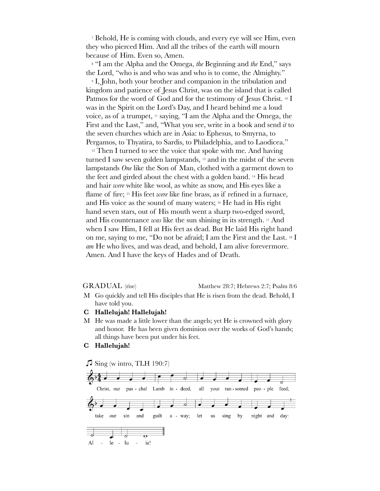7 Behold, He is coming with clouds, and every eye will see Him, even they who pierced Him. And all the tribes of the earth will mourn because of Him. Even so, Amen.

8 "I am the Alpha and the Omega, *the* Beginning and *the* End," says the Lord, "who is and who was and who is to come, the Almighty."

9 I, John, both your brother and companion in the tribulation and kingdom and patience of Jesus Christ, was on the island that is called Patmos for the word of God and for the testimony of Jesus Christ. <sup>10</sup> I was in the Spirit on the Lord's Day, and I heard behind me a loud voice, as of a trumpet, 11 saying, "I am the Alpha and the Omega, the First and the Last," and, "What you see, write in a book and send *it* to the seven churches which are in Asia: to Ephesus, to Smyrna, to Pergamos, to Thyatira, to Sardis, to Philadelphia, and to Laodicea."

 $12$  Then I turned to see the voice that spoke with me. And having turned I saw seven golden lampstands, 13 and in the midst of the seven lampstands *One* like the Son of Man, clothed with a garment down to the feet and girded about the chest with a golden band. 14 His head and hair *were* white like wool, as white as snow, and His eyes like a flame of fire; 15 His feet *were* like fine brass, as if refined in a furnace, and His voice as the sound of many waters; 16 He had in His right hand seven stars, out of His mouth went a sharp two-edged sword, and His countenance *was* like the sun shining in its strength. 17 And when I saw Him, I fell at His feet as dead. But He laid His right hand on me, saying to me, "Do not be afraid; I am the First and the Last. 18 I *am* He who lives, and was dead, and behold, I am alive forevermore. Amen. And I have the keys of Hades and of Death.

GRADUAL (rise) Matthew 28:7; Hebrews 2:7; Psalm 8:6

- M Go quickly and tell His disciples that He is risen from the dead. Behold, I have told you.
- **C Hallelujah! Hallelujah!**
- M He was made a little lower than the angels; yet He is crowned with glory and honor. He has been given dominion over the works of God's hands; all things have been put under his feet.
- **C Hallelujah!**

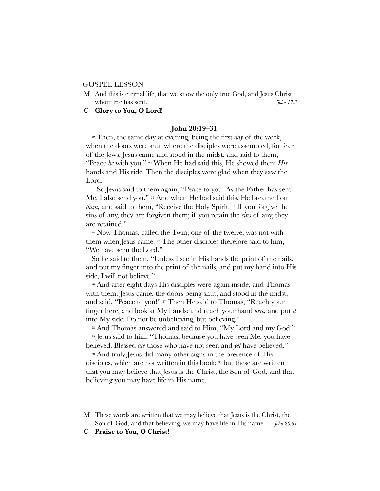#### GOSPEL LESSON

M And this is eternal life, that we know the only true God, and Jesus Christ whom He has sent. *John 17:3* 

**C Glory to You, O Lord!**

### **John 20:19–31**

19 Then, the same day at evening, being the first *day* of the week, when the doors were shut where the disciples were assembled, for fear of the Jews, Jesus came and stood in the midst, and said to them, "Peace *be* with you." 20 When He had said this, He showed them *His* hands and His side. Then the disciples were glad when they saw the Lord.

<sup>21</sup> So Jesus said to them again, "Peace to you! As the Father has sent Me, I also send you." <sup>22</sup> And when He had said this, He breathed on *them*, and said to them, "Receive the Holy Spirit.<sup>23</sup> If you forgive the sins of any, they are forgiven them; if you retain the *sins* of any, they are retained."

24 Now Thomas, called the Twin, one of the twelve, was not with them when Jesus came. 25 The other disciples therefore said to him, "We have seen the Lord."

So he said to them, "Unless I see in His hands the print of the nails, and put my finger into the print of the nails, and put my hand into His side, I will not believe."

26 And after eight days His disciples were again inside, and Thomas with them. Jesus came, the doors being shut, and stood in the midst, and said, "Peace to you!" 27 Then He said to Thomas, "Reach your finger here, and look at My hands; and reach your hand *here,* and put *it* into My side. Do not be unbelieving, but believing."

<sup>28</sup> And Thomas answered and said to Him, "My Lord and my God!"

29 Jesus said to him, "Thomas, because you have seen Me, you have believed. Blessed *are* those who have not seen and *yet* have believed."

<sup>30</sup> And truly Jesus did many other signs in the presence of His disciples, which are not written in this book; 31 but these are written that you may believe that Jesus is the Christ, the Son of God, and that believing you may have life in His name.

- M These words are written that we may believe that Jesus is the Christ, the Son of God, and that believing, we may have life in His name. *John 20:31*
- **C Praise to You, O Christ!**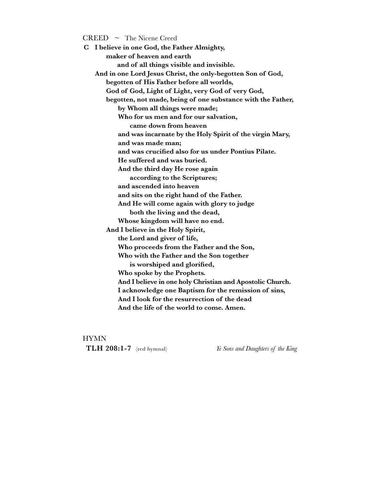$CREED \sim$  The Nicene Creed

**C I believe in one God, the Father Almighty, maker of heaven and earth and of all things visible and invisible. And in one Lord Jesus Christ, the only-begotten Son of God, begotten of His Father before all worlds, God of God, Light of Light, very God of very God, begotten, not made, being of one substance with the Father, by Whom all things were made; Who for us men and for our salvation, came down from heaven and was incarnate by the Holy Spirit of the virgin Mary, and was made man; and was crucified also for us under Pontius Pilate. He suffered and was buried. And the third day He rose again according to the Scriptures; and ascended into heaven and sits on the right hand of the Father. And He will come again with glory to judge both the living and the dead, Whose kingdom will have no end. And I believe in the Holy Spirit, the Lord and giver of life, Who proceeds from the Father and the Son, Who with the Father and the Son together is worshiped and glorified, Who spoke by the Prophets. And I believe in one holy Christian and Apostolic Church.**  I acknowledge one Baptism for the remission of sins,  **And I look for the resurrection of the dead**  And the life of the world to come. Amen.

### **HYMN**

**TLH 208:1-7** (red hymnal) *Ye Sons and Daughters of the King*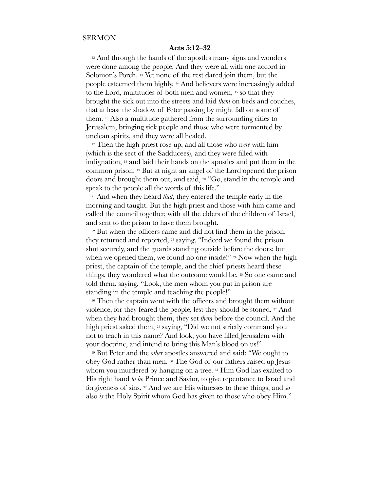# **Acts 5:12–32**

<sup>12</sup> And through the hands of the apostles many signs and wonders were done among the people. And they were all with one accord in Solomon's Porch. 13 Yet none of the rest dared join them, but the people esteemed them highly. 14 And believers were increasingly added to the Lord, multitudes of both men and women, 15 so that they brought the sick out into the streets and laid *them* on beds and couches, that at least the shadow of Peter passing by might fall on some of them. 16 Also a multitude gathered from the surrounding cities to Jerusalem, bringing sick people and those who were tormented by unclean spirits, and they were all healed.

17 Then the high priest rose up, and all those who *were* with him (which is the sect of the Sadducees), and they were filled with indignation, 18 and laid their hands on the apostles and put them in the common prison. 19 But at night an angel of the Lord opened the prison doors and brought them out, and said, 20 "Go, stand in the temple and speak to the people all the words of this life."

21 And when they heard *that,* they entered the temple early in the morning and taught. But the high priest and those with him came and called the council together, with all the elders of the children of Israel, and sent to the prison to have them brought.

<sup>22</sup> But when the officers came and did not find them in the prison, they returned and reported, 23 saying, "Indeed we found the prison shut securely, and the guards standing outside before the doors; but when we opened them, we found no one inside!" 24 Now when the high priest, the captain of the temple, and the chief priests heard these things, they wondered what the outcome would be. 25 So one came and told them, saying, "Look, the men whom you put in prison are standing in the temple and teaching the people!"

<sup>26</sup> Then the captain went with the officers and brought them without violence, for they feared the people, lest they should be stoned. 27 And when they had brought them, they set *them* before the council. And the high priest asked them, 28 saying, "Did we not strictly command you not to teach in this name? And look, you have filled Jerusalem with your doctrine, and intend to bring this Man's blood on us!"

29 But Peter and the *other* apostles answered and said: "We ought to obey God rather than men. 30 The God of our fathers raised up Jesus whom you murdered by hanging on a tree. 31 Him God has exalted to His right hand *to be* Prince and Savior, to give repentance to Israel and forgiveness of sins. 32 And we are His witnesses to these things, and *so* also *is* the Holy Spirit whom God has given to those who obey Him."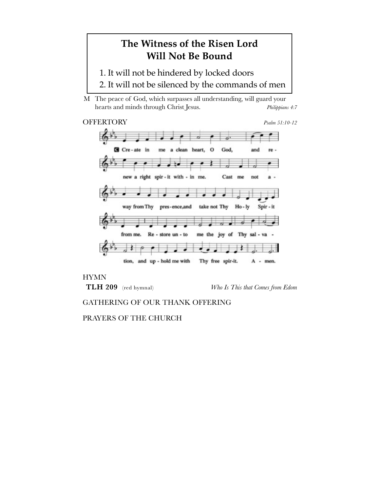# **The Witness of the Risen Lord Will Not Be Bound**

- 1. It will not be hindered by locked doors
- 2. It will not be silenced by the commands of men

M The peace of God, which surpasses all understanding, will guard your hearts and minds through Christ Jesus. *Philippians 4:7*

# OFFERTORY *Psalm 51:10-12*



# **HYMN**

**TLH 209** (red hymnal) *Who Is This that Comes from Edom*

# GATHERING OF OUR THANK OFFERING

PRAYERS OF THE CHURCH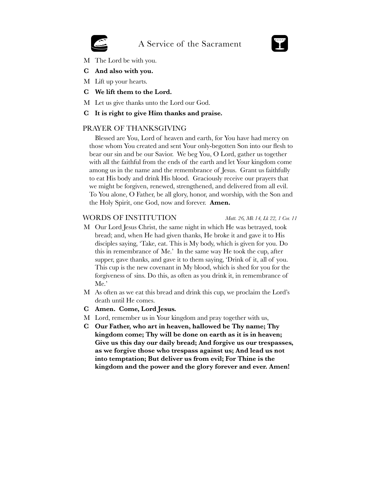# A Service of the Sacrament

- M The Lord be with you.
- **C And also with you.**
- M Lift up your hearts.
- **C We lift them to the Lord.**
- M Let us give thanks unto the Lord our God.

# **C It is right to give Him thanks and praise.**

# PRAYER OF THANKSGIVING

Blessed are You, Lord of heaven and earth, for You have had mercy on those whom You created and sent Your only-begotten Son into our flesh to bear our sin and be our Savior. We beg You, O Lord, gather us together with all the faithful from the ends of the earth and let Your kingdom come among us in the name and the remembrance of Jesus. Grant us faithfully to eat His body and drink His blood. Graciously receive our prayers that we might be forgiven, renewed, strengthened, and delivered from all evil. To You alone, O Father, be all glory, honor, and worship, with the Son and the Holy Spirit, one God, now and forever. **Amen.**

# WORDS OF INSTITUTION *Matt. 26, Mk 14, Lk 22, 1 Cor. 11*

- M Our Lord Jesus Christ, the same night in which He was betrayed, took bread; and, when He had given thanks, He broke it and gave it to His disciples saying, 'Take, eat. This is My body, which is given for you. Do this in remembrance of Me.' In the same way He took the cup, after supper, gave thanks, and gave it to them saying, 'Drink of it, all of you. This cup is the new covenant in My blood, which is shed for you for the forgiveness of sins. Do this, as often as you drink it, in remembrance of Me.'
- M As often as we eat this bread and drink this cup, we proclaim the Lord's death until He comes.
- **C Amen. Come, Lord Jesus.**
- M Lord, remember us in Your kingdom and pray together with us,
- **C Our Father, who art in heaven, hallowed be Thy name; Thy kingdom come; Thy will be done on earth as it is in heaven; Give us this day our daily bread; And forgive us our trespasses, as we forgive those who trespass against us; And lead us not into temptation; But deliver us from evil; For Thine is the kingdom and the power and the glory forever and ever. Amen!**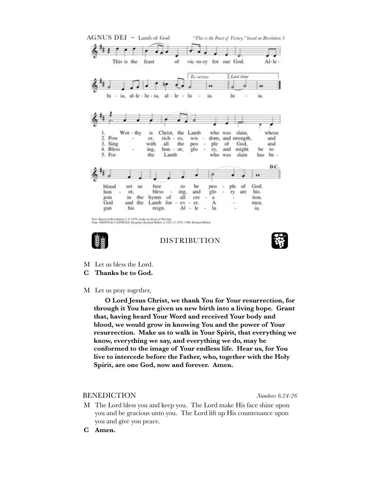



DISTRIBUTION



- M Let us bless the Lord.
- **C Thanks be to God.**
- M Let us pray together,

 **O Lord Jesus Christ, we thank You for Your resurrection, for through it You have given us new birth into a living hope. Grant that, having heard Your Word and received Your body and blood, we would grow in knowing You and the power of Your resurrection. Make us to walk in Your Spirit, that everything we know, everything we say, and everything we do, may be conformed to the image of Your endless life. Hear us, for You live to intercede before the Father, who, together with the Holy Spirit, are one God, now and forever. Amen.**

### BENEDICTION *Numbers 6:24-26*

- M The Lord bless you and keep you. The Lord make His face shine upon you and be gracious unto you. The Lord lift up His countenance upon you and give you peace.
- **C Amen.**